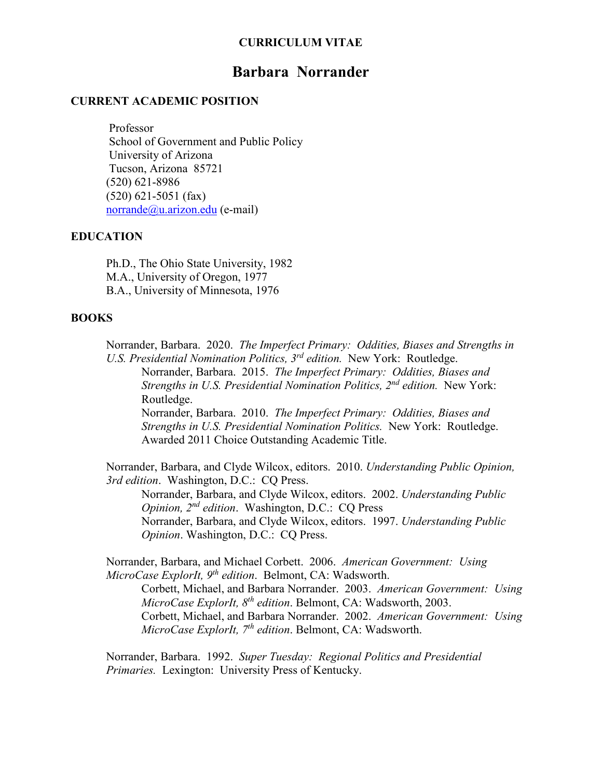#### **CURRICULUM VITAE**

# **Barbara Norrander**

#### **CURRENT ACADEMIC POSITION**

 Professor School of Government and Public Policy University of Arizona Tucson, Arizona 85721 (520) 621-8986 (520) 621-5051 (fax) [norrande@u.arizon.edu](mailto:norrande@u.arizon.edu) (e-mail)

#### **EDUCATION**

Ph.D., The Ohio State University, 1982 M.A., University of Oregon, 1977 B.A., University of Minnesota, 1976

#### **BOOKS**

Norrander, Barbara. 2020. *The Imperfect Primary: Oddities, Biases and Strengths in U.S. Presidential Nomination Politics, 3rd edition.* New York: Routledge.

Norrander, Barbara. 2015. *The Imperfect Primary: Oddities, Biases and Strengths in U.S. Presidential Nomination Politics, 2nd edition.* New York: Routledge. Norrander, Barbara. 2010. *The Imperfect Primary: Oddities, Biases and Strengths in U.S. Presidential Nomination Politics.* New York: Routledge.

Awarded 2011 Choice Outstanding Academic Title.

Norrander, Barbara, and Clyde Wilcox, editors. 2010. *Understanding Public Opinion, 3rd edition*. Washington, D.C.: CQ Press.

Norrander, Barbara, and Clyde Wilcox, editors. 2002. *Understanding Public Opinion, 2nd edition*. Washington, D.C.: CQ Press Norrander, Barbara, and Clyde Wilcox, editors. 1997. *Understanding Public Opinion*. Washington, D.C.: CQ Press.

Norrander, Barbara, and Michael Corbett. 2006. *American Government: Using MicroCase ExplorIt, 9th edition*. Belmont, CA: Wadsworth. Corbett, Michael, and Barbara Norrander. 2003. *American Government: Using MicroCase ExplorIt, 8th edition*. Belmont, CA: Wadsworth, 2003.

Corbett, Michael, and Barbara Norrander. 2002. *American Government: Using MicroCase ExplorIt, 7th edition*. Belmont, CA: Wadsworth.

Norrander, Barbara. 1992. *Super Tuesday: Regional Politics and Presidential Primaries.* Lexington: University Press of Kentucky.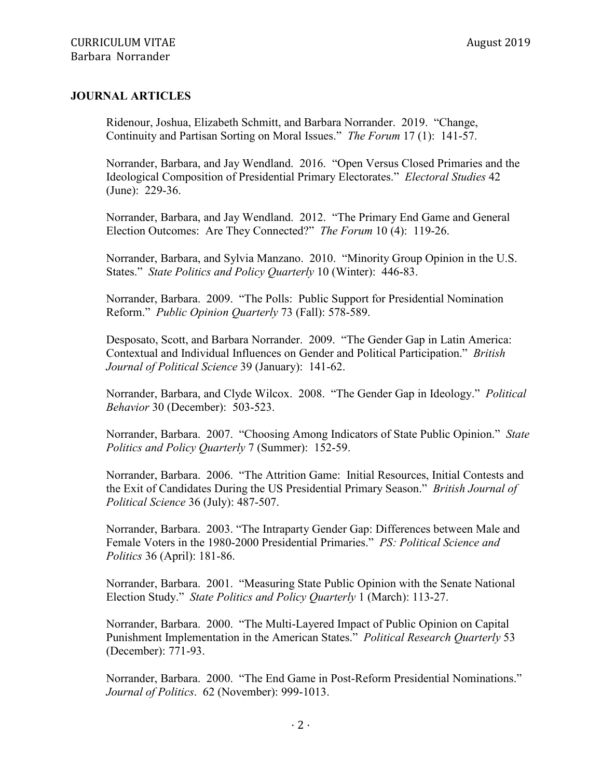#### **JOURNAL ARTICLES**

Ridenour, Joshua, Elizabeth Schmitt, and Barbara Norrander. 2019. "Change, Continuity and Partisan Sorting on Moral Issues." *The Forum* 17 (1): 141-57.

Norrander, Barbara, and Jay Wendland. 2016. "Open Versus Closed Primaries and the Ideological Composition of Presidential Primary Electorates." *Electoral Studies* 42 (June): 229-36.

Norrander, Barbara, and Jay Wendland. 2012. "The Primary End Game and General Election Outcomes: Are They Connected?" *The Forum* 10 (4): 119-26.

Norrander, Barbara, and Sylvia Manzano. 2010. "Minority Group Opinion in the U.S. States." *State Politics and Policy Quarterly* 10 (Winter): 446-83.

Norrander, Barbara. 2009. "The Polls: Public Support for Presidential Nomination Reform." *Public Opinion Quarterly* 73 (Fall): 578-589.

Desposato, Scott, and Barbara Norrander. 2009. "The Gender Gap in Latin America: Contextual and Individual Influences on Gender and Political Participation." *British Journal of Political Science* 39 (January): 141-62.

Norrander, Barbara, and Clyde Wilcox. 2008. "The Gender Gap in Ideology." *Political Behavior* 30 (December): 503-523.

Norrander, Barbara. 2007. "Choosing Among Indicators of State Public Opinion." *State Politics and Policy Quarterly* 7 (Summer): 152-59.

Norrander, Barbara. 2006. "The Attrition Game: Initial Resources, Initial Contests and the Exit of Candidates During the US Presidential Primary Season." *British Journal of Political Science* 36 (July): 487-507.

Norrander, Barbara. 2003. "The Intraparty Gender Gap: Differences between Male and Female Voters in the 1980-2000 Presidential Primaries." *PS: Political Science and Politics* 36 (April): 181-86.

Norrander, Barbara. 2001. "Measuring State Public Opinion with the Senate National Election Study." *State Politics and Policy Quarterly* 1 (March): 113-27.

Norrander, Barbara. 2000. "The Multi-Layered Impact of Public Opinion on Capital Punishment Implementation in the American States." *Political Research Quarterly* 53 (December): 771-93.

Norrander, Barbara. 2000. "The End Game in Post-Reform Presidential Nominations." *Journal of Politics*. 62 (November): 999-1013.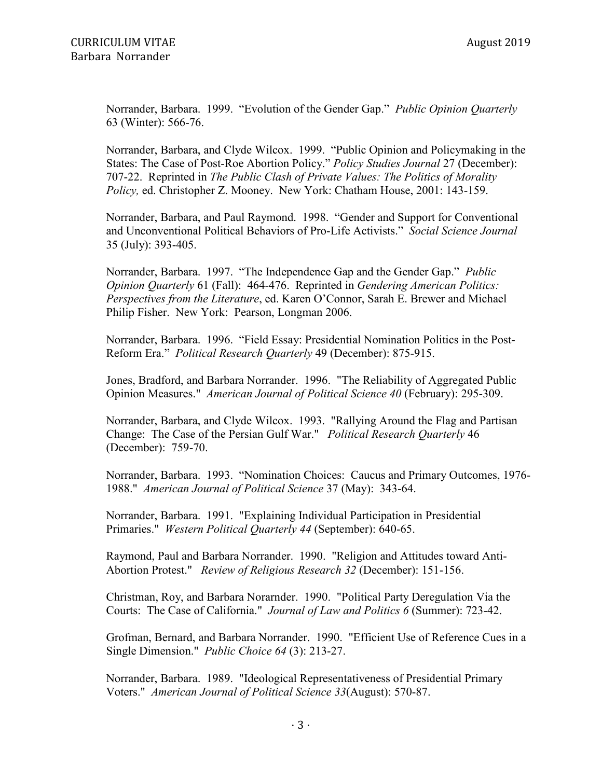Norrander, Barbara. 1999. "Evolution of the Gender Gap." *Public Opinion Quarterly* 63 (Winter): 566-76.

Norrander, Barbara, and Clyde Wilcox. 1999. "Public Opinion and Policymaking in the States: The Case of Post-Roe Abortion Policy." *Policy Studies Journal* 27 (December): 707-22. Reprinted in *The Public Clash of Private Values: The Politics of Morality Policy,* ed. Christopher Z. Mooney. New York: Chatham House, 2001: 143-159.

Norrander, Barbara, and Paul Raymond. 1998. "Gender and Support for Conventional and Unconventional Political Behaviors of Pro-Life Activists." *Social Science Journal* 35 (July): 393-405.

Norrander, Barbara. 1997. "The Independence Gap and the Gender Gap." *Public Opinion Quarterly* 61 (Fall): 464-476. Reprinted in *Gendering American Politics: Perspectives from the Literature*, ed. Karen O'Connor, Sarah E. Brewer and Michael Philip Fisher. New York: Pearson, Longman 2006.

Norrander, Barbara. 1996. "Field Essay: Presidential Nomination Politics in the Post-Reform Era." *Political Research Quarterly* 49 (December): 875-915.

Jones, Bradford, and Barbara Norrander. 1996. "The Reliability of Aggregated Public Opinion Measures." *American Journal of Political Science 40* (February): 295-309.

Norrander, Barbara, and Clyde Wilcox. 1993. "Rallying Around the Flag and Partisan Change: The Case of the Persian Gulf War." *Political Research Quarterly* 46 (December): 759-70.

Norrander, Barbara. 1993. "Nomination Choices: Caucus and Primary Outcomes, 1976- 1988." *American Journal of Political Science* 37 (May): 343-64.

Norrander, Barbara. 1991. "Explaining Individual Participation in Presidential Primaries." *Western Political Quarterly 44* (September): 640-65.

Raymond, Paul and Barbara Norrander. 1990. "Religion and Attitudes toward Anti-Abortion Protest." *Review of Religious Research 32* (December): 151-156.

Christman, Roy, and Barbara Norarnder. 1990. "Political Party Deregulation Via the Courts: The Case of California." *Journal of Law and Politics 6* (Summer): 723-42.

Grofman, Bernard, and Barbara Norrander. 1990. "Efficient Use of Reference Cues in a Single Dimension." *Public Choice 64* (3): 213-27.

Norrander, Barbara. 1989. "Ideological Representativeness of Presidential Primary Voters." *American Journal of Political Science 33*(August): 570-87.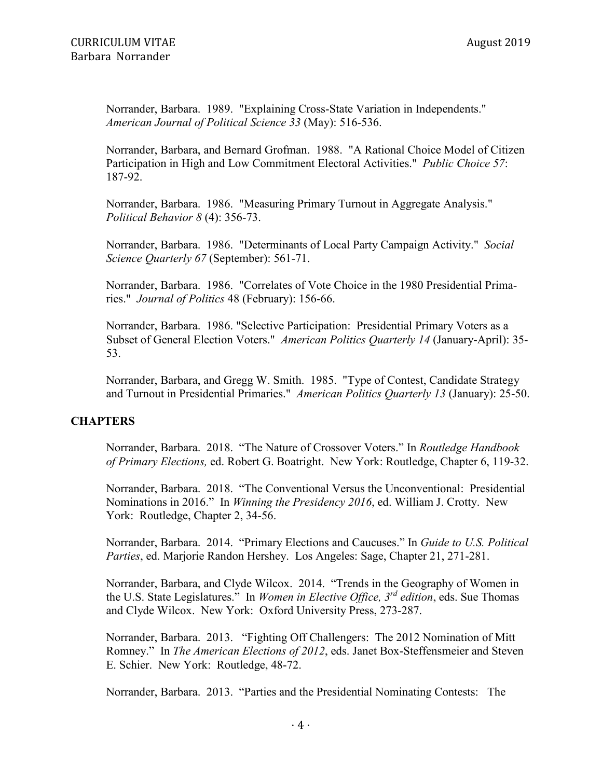Norrander, Barbara. 1989. "Explaining Cross-State Variation in Independents." *American Journal of Political Science 33* (May): 516-536.

Norrander, Barbara, and Bernard Grofman. 1988. "A Rational Choice Model of Citizen Participation in High and Low Commitment Electoral Activities." *Public Choice 57*: 187-92.

Norrander, Barbara. 1986. "Measuring Primary Turnout in Aggregate Analysis." *Political Behavior 8* (4): 356-73.

Norrander, Barbara. 1986. "Determinants of Local Party Campaign Activity." *Social Science Quarterly 67* (September): 561-71.

Norrander, Barbara. 1986. "Correlates of Vote Choice in the 1980 Presidential Primaries." *Journal of Politics* 48 (February): 156-66.

Norrander, Barbara. 1986. "Selective Participation: Presidential Primary Voters as a Subset of General Election Voters." *American Politics Quarterly 14* (January-April): 35- 53.

Norrander, Barbara, and Gregg W. Smith. 1985. "Type of Contest, Candidate Strategy and Turnout in Presidential Primaries." *American Politics Quarterly 13* (January): 25-50.

### **CHAPTERS**

Norrander, Barbara. 2018. "The Nature of Crossover Voters." In *Routledge Handbook of Primary Elections,* ed. Robert G. Boatright. New York: Routledge, Chapter 6, 119-32.

Norrander, Barbara. 2018. "The Conventional Versus the Unconventional: Presidential Nominations in 2016." In *Winning the Presidency 2016*, ed. William J. Crotty. New York: Routledge, Chapter 2, 34-56.

Norrander, Barbara. 2014. "Primary Elections and Caucuses." In *Guide to U.S. Political Parties*, ed. Marjorie Randon Hershey. Los Angeles: Sage, Chapter 21, 271-281.

Norrander, Barbara, and Clyde Wilcox. 2014. "Trends in the Geography of Women in the U.S. State Legislatures." In *Women in Elective Office, 3rd edition*, eds. Sue Thomas and Clyde Wilcox. New York: Oxford University Press, 273-287.

Norrander, Barbara. 2013. "Fighting Off Challengers: The 2012 Nomination of Mitt Romney." In *The American Elections of 2012*, eds. Janet Box-Steffensmeier and Steven E. Schier. New York: Routledge, 48-72.

Norrander, Barbara. 2013. "Parties and the Presidential Nominating Contests: The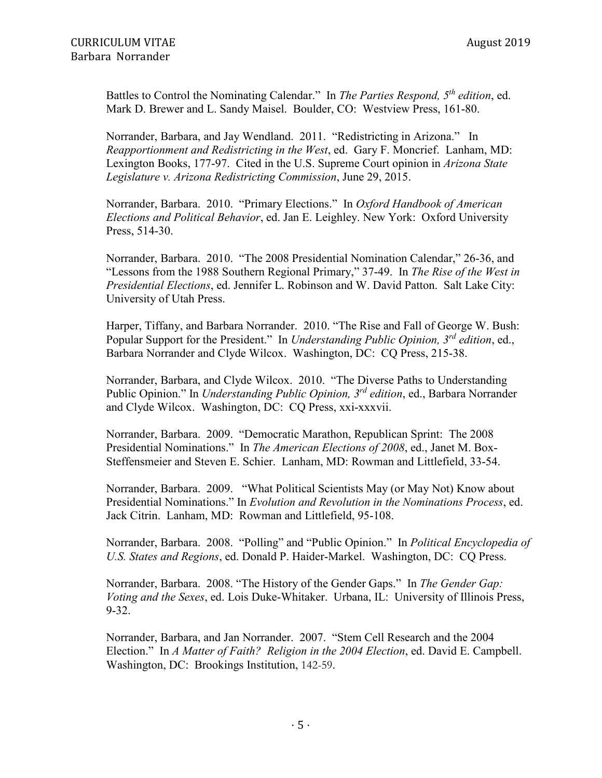Battles to Control the Nominating Calendar." In *The Parties Respond, 5th edition*, ed. Mark D. Brewer and L. Sandy Maisel. Boulder, CO: Westview Press, 161-80.

Norrander, Barbara, and Jay Wendland. 2011. "Redistricting in Arizona." In *Reapportionment and Redistricting in the West*, ed. Gary F. Moncrief. Lanham, MD: Lexington Books, 177-97. Cited in the U.S. Supreme Court opinion in *Arizona State Legislature v. Arizona Redistricting Commission*, June 29, 2015.

Norrander, Barbara. 2010. "Primary Elections." In *Oxford Handbook of American Elections and Political Behavior*, ed. Jan E. Leighley. New York: Oxford University Press, 514-30.

Norrander, Barbara. 2010. "The 2008 Presidential Nomination Calendar," 26-36, and "Lessons from the 1988 Southern Regional Primary," 37-49. In *The Rise of the West in Presidential Elections*, ed. Jennifer L. Robinson and W. David Patton. Salt Lake City: University of Utah Press.

Harper, Tiffany, and Barbara Norrander. 2010. "The Rise and Fall of George W. Bush: Popular Support for the President." In *Understanding Public Opinion, 3rd edition*, ed., Barbara Norrander and Clyde Wilcox. Washington, DC: CQ Press, 215-38.

Norrander, Barbara, and Clyde Wilcox. 2010. "The Diverse Paths to Understanding Public Opinion." In *Understanding Public Opinion, 3rd edition*, ed., Barbara Norrander and Clyde Wilcox. Washington, DC: CQ Press, xxi-xxxvii.

Norrander, Barbara. 2009. "Democratic Marathon, Republican Sprint: The 2008 Presidential Nominations." In *The American Elections of 2008*, ed., Janet M. Box-Steffensmeier and Steven E. Schier. Lanham, MD: Rowman and Littlefield, 33-54.

Norrander, Barbara. 2009. "What Political Scientists May (or May Not) Know about Presidential Nominations." In *Evolution and Revolution in the Nominations Process*, ed. Jack Citrin. Lanham, MD: Rowman and Littlefield, 95-108.

Norrander, Barbara. 2008. "Polling" and "Public Opinion." In *Political Encyclopedia of U.S. States and Regions*, ed. Donald P. Haider-Markel. Washington, DC: CQ Press.

Norrander, Barbara. 2008. "The History of the Gender Gaps." In *The Gender Gap: Voting and the Sexes*, ed. Lois Duke-Whitaker. Urbana, IL: University of Illinois Press, 9-32.

Norrander, Barbara, and Jan Norrander. 2007. "Stem Cell Research and the 2004 Election." In *A Matter of Faith? Religion in the 2004 Election*, ed. David E. Campbell. Washington, DC: Brookings Institution, 142-59.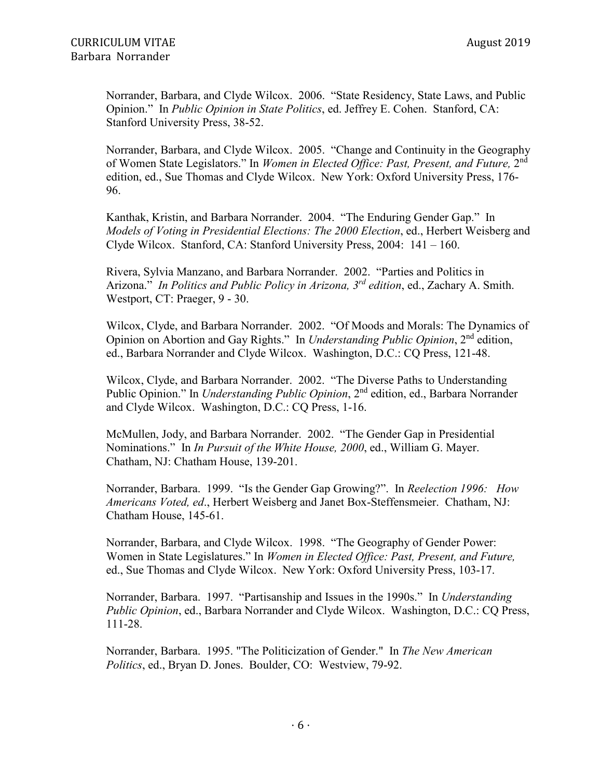Norrander, Barbara, and Clyde Wilcox. 2006. "State Residency, State Laws, and Public Opinion." In *Public Opinion in State Politics*, ed. Jeffrey E. Cohen. Stanford, CA: Stanford University Press, 38-52.

Norrander, Barbara, and Clyde Wilcox. 2005. "Change and Continuity in the Geography of Women State Legislators." In *Women in Elected Office: Past, Present, and Future,* 2nd edition, ed., Sue Thomas and Clyde Wilcox. New York: Oxford University Press, 176- 96.

Kanthak, Kristin, and Barbara Norrander. 2004. "The Enduring Gender Gap." In *Models of Voting in Presidential Elections: The 2000 Election*, ed., Herbert Weisberg and Clyde Wilcox. Stanford, CA: Stanford University Press, 2004: 141 – 160.

Rivera, Sylvia Manzano, and Barbara Norrander. 2002. "Parties and Politics in Arizona." *In Politics and Public Policy in Arizona, 3rd edition*, ed., Zachary A. Smith. Westport, CT: Praeger, 9 - 30.

Wilcox, Clyde, and Barbara Norrander. 2002. "Of Moods and Morals: The Dynamics of Opinion on Abortion and Gay Rights." In *Understanding Public Opinion*, 2nd edition, ed., Barbara Norrander and Clyde Wilcox. Washington, D.C.: CQ Press, 121-48.

Wilcox, Clyde, and Barbara Norrander. 2002. "The Diverse Paths to Understanding Public Opinion." In *Understanding Public Opinion*, 2nd edition, ed., Barbara Norrander and Clyde Wilcox. Washington, D.C.: CQ Press, 1-16.

McMullen, Jody, and Barbara Norrander. 2002. "The Gender Gap in Presidential Nominations." In *In Pursuit of the White House, 2000*, ed., William G. Mayer. Chatham, NJ: Chatham House, 139-201.

Norrander, Barbara. 1999. "Is the Gender Gap Growing?". In *Reelection 1996: How Americans Voted, ed*., Herbert Weisberg and Janet Box-Steffensmeier. Chatham, NJ: Chatham House, 145-61.

Norrander, Barbara, and Clyde Wilcox. 1998. "The Geography of Gender Power: Women in State Legislatures." In *Women in Elected Office: Past, Present, and Future,* ed., Sue Thomas and Clyde Wilcox. New York: Oxford University Press, 103-17.

Norrander, Barbara. 1997. "Partisanship and Issues in the 1990s." In *Understanding Public Opinion*, ed., Barbara Norrander and Clyde Wilcox. Washington, D.C.: CQ Press, 111-28.

Norrander, Barbara. 1995. "The Politicization of Gender." In *The New American Politics*, ed., Bryan D. Jones. Boulder, CO: Westview, 79-92.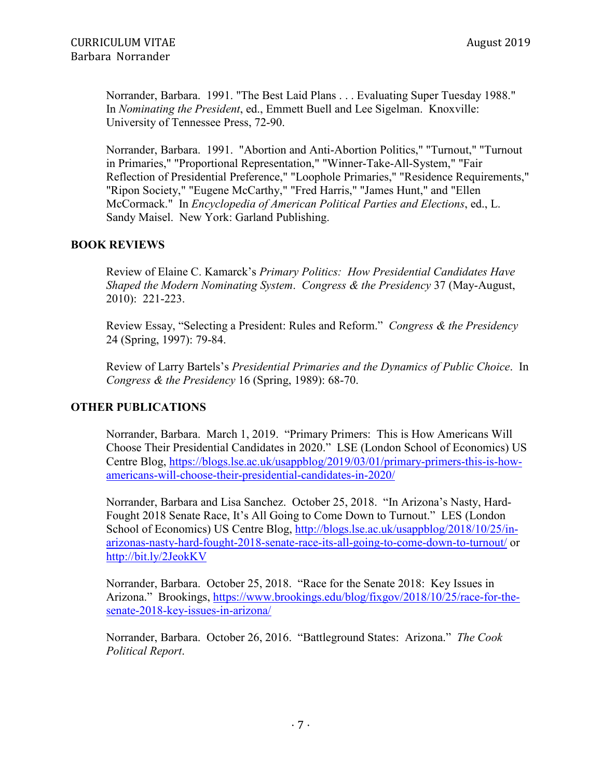Norrander, Barbara. 1991. "The Best Laid Plans . . . Evaluating Super Tuesday 1988." In *Nominating the President*, ed., Emmett Buell and Lee Sigelman. Knoxville: University of Tennessee Press, 72-90.

Norrander, Barbara. 1991. "Abortion and Anti-Abortion Politics," "Turnout," "Turnout in Primaries," "Proportional Representation," "Winner-Take-All-System," "Fair Reflection of Presidential Preference," "Loophole Primaries," "Residence Requirements," "Ripon Society," "Eugene McCarthy," "Fred Harris," "James Hunt," and "Ellen McCormack." In *Encyclopedia of American Political Parties and Elections*, ed., L. Sandy Maisel. New York: Garland Publishing.

## **BOOK REVIEWS**

Review of Elaine C. Kamarck's *Primary Politics: How Presidential Candidates Have Shaped the Modern Nominating System*. *Congress & the Presidency* 37 (May-August, 2010): 221-223.

Review Essay, "Selecting a President: Rules and Reform." *Congress & the Presidency* 24 (Spring, 1997): 79-84.

Review of Larry Bartels's *Presidential Primaries and the Dynamics of Public Choice*. In *Congress & the Presidency* 16 (Spring, 1989): 68-70.

### **OTHER PUBLICATIONS**

Norrander, Barbara. March 1, 2019. "Primary Primers: This is How Americans Will Choose Their Presidential Candidates in 2020." LSE (London School of Economics) US Centre Blog, [https://blogs.lse.ac.uk/usappblog/2019/03/01/primary-primers-this-is-how](https://blogs.lse.ac.uk/usappblog/2019/03/01/primary-primers-this-is-how-americans-will-choose-their-presidential-candidates-in-2020/)[americans-will-choose-their-presidential-candidates-in-2020/](https://blogs.lse.ac.uk/usappblog/2019/03/01/primary-primers-this-is-how-americans-will-choose-their-presidential-candidates-in-2020/)

Norrander, Barbara and Lisa Sanchez. October 25, 2018. "In Arizona's Nasty, Hard-Fought 2018 Senate Race, It's All Going to Come Down to Turnout." LES (London School of Economics) US Centre Blog, [http://blogs.lse.ac.uk/usappblog/2018/10/25/in](http://blogs.lse.ac.uk/usappblog/2018/10/25/in-arizonas-nasty-hard-fought-2018-senate-race-its-all-going-to-come-down-to-turnout/)[arizonas-nasty-hard-fought-2018-senate-race-its-all-going-to-come-down-to-turnout/](http://blogs.lse.ac.uk/usappblog/2018/10/25/in-arizonas-nasty-hard-fought-2018-senate-race-its-all-going-to-come-down-to-turnout/) or <http://bit.ly/2JeokKV>

Norrander, Barbara. October 25, 2018. "Race for the Senate 2018: Key Issues in Arizona." Brookings, [https://www.brookings.edu/blog/fixgov/2018/10/25/race-for-the](https://www.brookings.edu/blog/fixgov/2018/10/25/race-for-the-senate-2018-key-issues-in-arizona/)[senate-2018-key-issues-in-arizona/](https://www.brookings.edu/blog/fixgov/2018/10/25/race-for-the-senate-2018-key-issues-in-arizona/)

Norrander, Barbara. October 26, 2016. "Battleground States: Arizona." *The Cook Political Report*.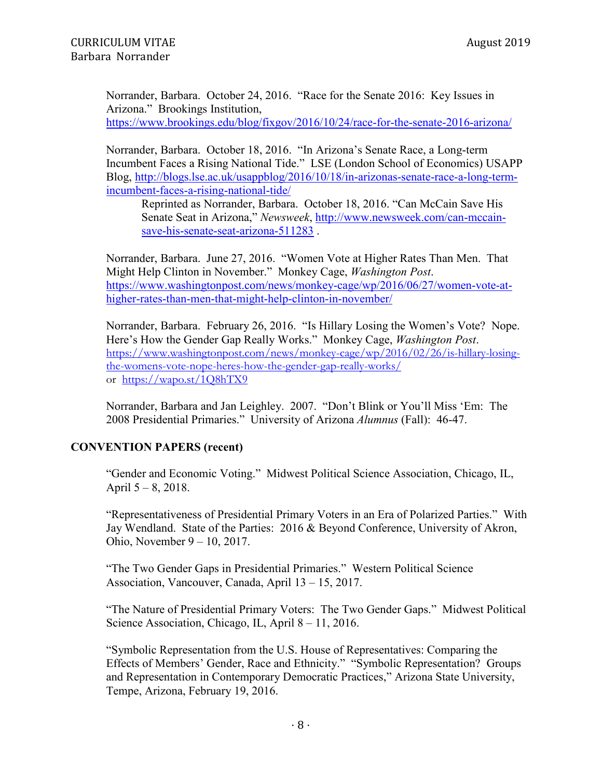Norrander, Barbara. October 24, 2016. "Race for the Senate 2016: Key Issues in Arizona." Brookings Institution, <https://www.brookings.edu/blog/fixgov/2016/10/24/race-for-the-senate-2016-arizona/>

Norrander, Barbara. October 18, 2016. "In Arizona's Senate Race, a Long-term Incumbent Faces a Rising National Tide." LSE (London School of Economics) USAPP Blog, [http://blogs.lse.ac.uk/usappblog/2016/10/18/in-arizonas-senate-race-a-long-term](http://blogs.lse.ac.uk/usappblog/2016/10/18/in-arizonas-senate-race-a-long-term-incumbent-faces-a-rising-national-tide/)[incumbent-faces-a-rising-national-tide/](http://blogs.lse.ac.uk/usappblog/2016/10/18/in-arizonas-senate-race-a-long-term-incumbent-faces-a-rising-national-tide/)

Reprinted as Norrander, Barbara. October 18, 2016. "Can McCain Save His Senate Seat in Arizona," *Newsweek*, [http://www.newsweek.com/can-mccain](http://www.newsweek.com/can-mccain-save-his-senate-seat-arizona-511283)[save-his-senate-seat-arizona-511283](http://www.newsweek.com/can-mccain-save-his-senate-seat-arizona-511283) .

Norrander, Barbara. June 27, 2016. "Women Vote at Higher Rates Than Men. That Might Help Clinton in November." Monkey Cage, *Washington Post*. [https://www.washingtonpost.com/news/monkey-cage/wp/2016/06/27/women-vote-at](https://www.washingtonpost.com/news/monkey-cage/wp/2016/06/27/women-vote-at-higher-rates-than-men-that-might-help-clinton-in-november/)[higher-rates-than-men-that-might-help-clinton-in-november/](https://www.washingtonpost.com/news/monkey-cage/wp/2016/06/27/women-vote-at-higher-rates-than-men-that-might-help-clinton-in-november/)

Norrander, Barbara. February 26, 2016. "Is Hillary Losing the Women's Vote? Nope. Here's How the Gender Gap Really Works." Monkey Cage, *Washington Post*. [https://www.washingtonpost.com/news/monkey-cage/wp/2016/02/26/is-hillary-losing](https://www.washingtonpost.com/news/monkey-cage/wp/2016/02/26/is-hillary-losing-the-womens-vote-nope-heres-how-the-gender-gap-really-works/)[the-womens-vote-nope-heres-how-the-gender-gap-really-works/](https://www.washingtonpost.com/news/monkey-cage/wp/2016/02/26/is-hillary-losing-the-womens-vote-nope-heres-how-the-gender-gap-really-works/) or <https://wapo.st/1Q8hTX9>

Norrander, Barbara and Jan Leighley. 2007. "Don't Blink or You'll Miss 'Em: The 2008 Presidential Primaries." University of Arizona *Alumnus* (Fall): 46-47.

### **CONVENTION PAPERS (recent)**

"Gender and Economic Voting." Midwest Political Science Association, Chicago, IL, April  $5 - 8$ , 2018.

"Representativeness of Presidential Primary Voters in an Era of Polarized Parties." With Jay Wendland. State of the Parties: 2016 & Beyond Conference, University of Akron, Ohio, November 9 – 10, 2017.

"The Two Gender Gaps in Presidential Primaries." Western Political Science Association, Vancouver, Canada, April 13 – 15, 2017.

"The Nature of Presidential Primary Voters: The Two Gender Gaps." Midwest Political Science Association, Chicago, IL, April 8 – 11, 2016.

"Symbolic Representation from the U.S. House of Representatives: Comparing the Effects of Members' Gender, Race and Ethnicity." "Symbolic Representation? Groups and Representation in Contemporary Democratic Practices," Arizona State University, Tempe, Arizona, February 19, 2016.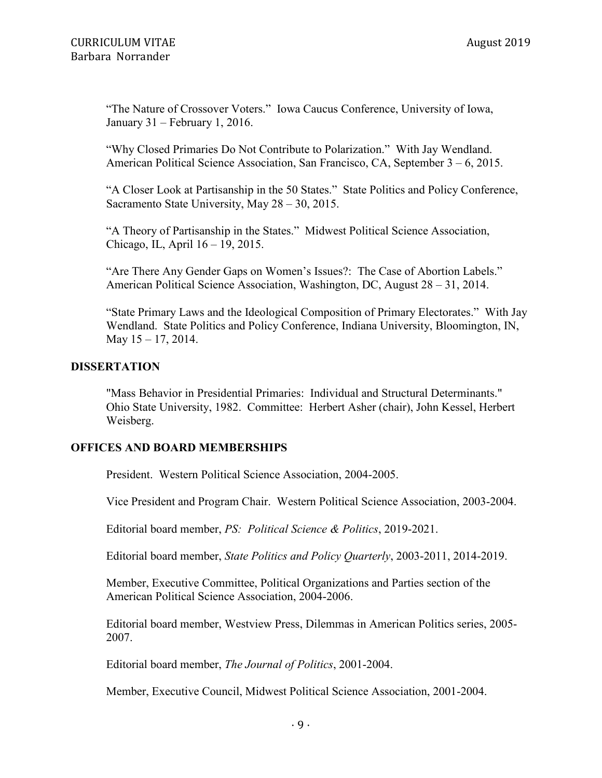"The Nature of Crossover Voters." Iowa Caucus Conference, University of Iowa, January 31 – February 1, 2016.

"Why Closed Primaries Do Not Contribute to Polarization." With Jay Wendland. American Political Science Association, San Francisco, CA, September 3 – 6, 2015.

"A Closer Look at Partisanship in the 50 States." State Politics and Policy Conference, Sacramento State University, May 28 – 30, 2015.

"A Theory of Partisanship in the States." Midwest Political Science Association, Chicago, IL, April 16 – 19, 2015.

"Are There Any Gender Gaps on Women's Issues?: The Case of Abortion Labels." American Political Science Association, Washington, DC, August 28 – 31, 2014.

"State Primary Laws and the Ideological Composition of Primary Electorates." With Jay Wendland. State Politics and Policy Conference, Indiana University, Bloomington, IN, May  $15 - 17$ , 2014.

### **DISSERTATION**

"Mass Behavior in Presidential Primaries: Individual and Structural Determinants." Ohio State University, 1982. Committee: Herbert Asher (chair), John Kessel, Herbert Weisberg.

### **OFFICES AND BOARD MEMBERSHIPS**

President. Western Political Science Association, 2004-2005.

Vice President and Program Chair. Western Political Science Association, 2003-2004.

Editorial board member, *PS: Political Science & Politics*, 2019-2021.

Editorial board member, *State Politics and Policy Quarterly*, 2003-2011, 2014-2019.

Member, Executive Committee, Political Organizations and Parties section of the American Political Science Association, 2004-2006.

Editorial board member, Westview Press, Dilemmas in American Politics series, 2005- 2007.

Editorial board member, *The Journal of Politics*, 2001-2004.

Member, Executive Council, Midwest Political Science Association, 2001-2004.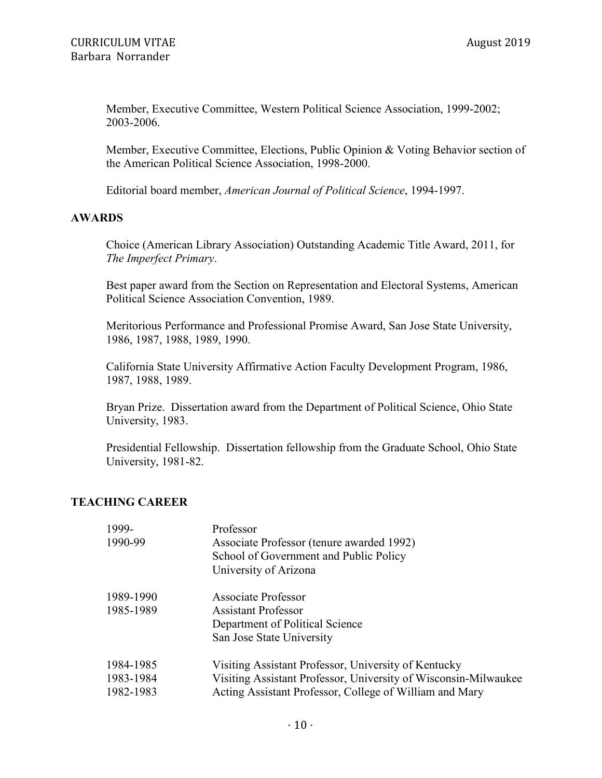Member, Executive Committee, Western Political Science Association, 1999-2002; 2003-2006.

Member, Executive Committee, Elections, Public Opinion & Voting Behavior section of the American Political Science Association, 1998-2000.

Editorial board member, *American Journal of Political Science*, 1994-1997.

### **AWARDS**

Choice (American Library Association) Outstanding Academic Title Award, 2011, for *The Imperfect Primary*.

Best paper award from the Section on Representation and Electoral Systems, American Political Science Association Convention, 1989.

Meritorious Performance and Professional Promise Award, San Jose State University, 1986, 1987, 1988, 1989, 1990.

California State University Affirmative Action Faculty Development Program, 1986, 1987, 1988, 1989.

Bryan Prize. Dissertation award from the Department of Political Science, Ohio State University, 1983.

Presidential Fellowship. Dissertation fellowship from the Graduate School, Ohio State University, 1981-82.

### **TEACHING CAREER**

| 1999-<br>1990-99                    | Professor<br>Associate Professor (tenure awarded 1992)<br>School of Government and Public Policy<br>University of Arizona                                                          |
|-------------------------------------|------------------------------------------------------------------------------------------------------------------------------------------------------------------------------------|
| 1989-1990<br>1985-1989              | <b>Associate Professor</b><br><b>Assistant Professor</b><br>Department of Political Science<br>San Jose State University                                                           |
| 1984-1985<br>1983-1984<br>1982-1983 | Visiting Assistant Professor, University of Kentucky<br>Visiting Assistant Professor, University of Wisconsin-Milwaukee<br>Acting Assistant Professor, College of William and Mary |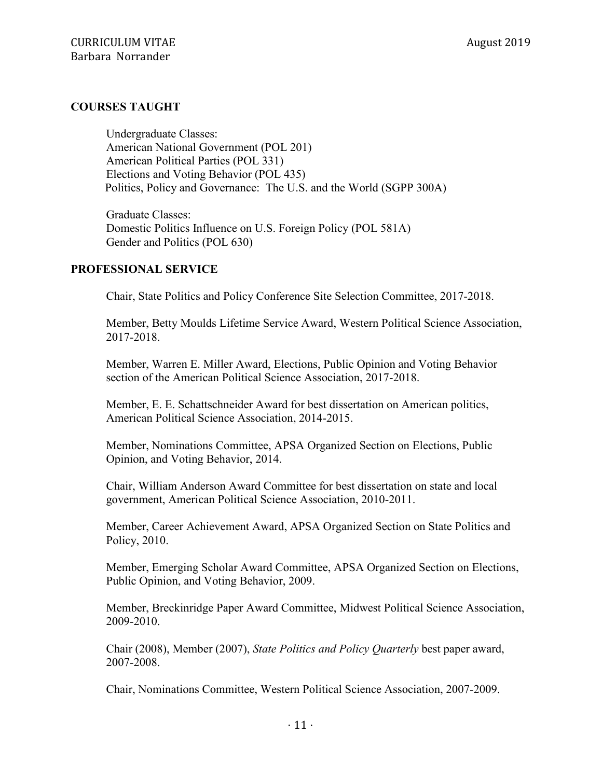#### **COURSES TAUGHT**

Undergraduate Classes: American National Government (POL 201) American Political Parties (POL 331) Elections and Voting Behavior (POL 435) Politics, Policy and Governance: The U.S. and the World (SGPP 300A)

Graduate Classes: Domestic Politics Influence on U.S. Foreign Policy (POL 581A) Gender and Politics (POL 630)

#### **PROFESSIONAL SERVICE**

Chair, State Politics and Policy Conference Site Selection Committee, 2017-2018.

Member, Betty Moulds Lifetime Service Award, Western Political Science Association, 2017-2018.

Member, Warren E. Miller Award, Elections, Public Opinion and Voting Behavior section of the American Political Science Association, 2017-2018.

Member, E. E. Schattschneider Award for best dissertation on American politics, American Political Science Association, 2014-2015.

Member, Nominations Committee, APSA Organized Section on Elections, Public Opinion, and Voting Behavior, 2014.

Chair, William Anderson Award Committee for best dissertation on state and local government, American Political Science Association, 2010-2011.

Member, Career Achievement Award, APSA Organized Section on State Politics and Policy, 2010.

Member, Emerging Scholar Award Committee, APSA Organized Section on Elections, Public Opinion, and Voting Behavior, 2009.

Member, Breckinridge Paper Award Committee, Midwest Political Science Association, 2009-2010.

Chair (2008), Member (2007), *State Politics and Policy Quarterly* best paper award, 2007-2008.

Chair, Nominations Committee, Western Political Science Association, 2007-2009.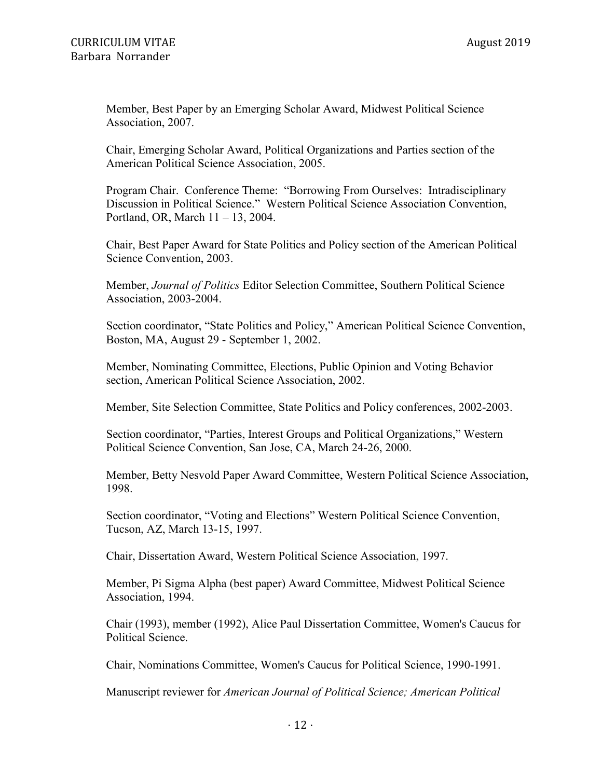Member, Best Paper by an Emerging Scholar Award, Midwest Political Science Association, 2007.

Chair, Emerging Scholar Award, Political Organizations and Parties section of the American Political Science Association, 2005.

Program Chair. Conference Theme: "Borrowing From Ourselves: Intradisciplinary Discussion in Political Science." Western Political Science Association Convention, Portland, OR, March 11 – 13, 2004.

Chair, Best Paper Award for State Politics and Policy section of the American Political Science Convention, 2003.

Member, *Journal of Politics* Editor Selection Committee, Southern Political Science Association, 2003-2004.

Section coordinator, "State Politics and Policy," American Political Science Convention, Boston, MA, August 29 - September 1, 2002.

Member, Nominating Committee, Elections, Public Opinion and Voting Behavior section, American Political Science Association, 2002.

Member, Site Selection Committee, State Politics and Policy conferences, 2002-2003.

Section coordinator, "Parties, Interest Groups and Political Organizations," Western Political Science Convention, San Jose, CA, March 24-26, 2000.

Member, Betty Nesvold Paper Award Committee, Western Political Science Association, 1998.

Section coordinator, "Voting and Elections" Western Political Science Convention, Tucson, AZ, March 13-15, 1997.

Chair, Dissertation Award, Western Political Science Association, 1997.

Member, Pi Sigma Alpha (best paper) Award Committee, Midwest Political Science Association, 1994.

Chair (1993), member (1992), Alice Paul Dissertation Committee, Women's Caucus for Political Science.

Chair, Nominations Committee, Women's Caucus for Political Science, 1990-1991.

Manuscript reviewer for *American Journal of Political Science; American Political*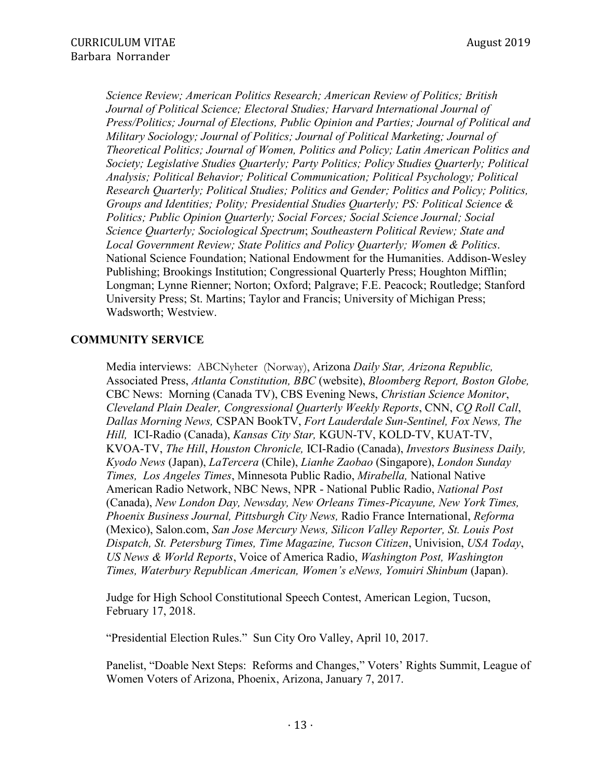*Science Review; American Politics Research; American Review of Politics; British Journal of Political Science; Electoral Studies; Harvard International Journal of Press/Politics; Journal of Elections, Public Opinion and Parties; Journal of Political and Military Sociology; Journal of Politics; Journal of Political Marketing; Journal of Theoretical Politics; Journal of Women, Politics and Policy; Latin American Politics and Society; Legislative Studies Quarterly; Party Politics; Policy Studies Quarterly; Political Analysis; Political Behavior; Political Communication; Political Psychology; Political Research Quarterly; Political Studies; Politics and Gender; Politics and Policy; Politics, Groups and Identities; Polity; Presidential Studies Quarterly; PS: Political Science & Politics; Public Opinion Quarterly; Social Forces; Social Science Journal; Social Science Quarterly; Sociological Spectrum*; *Southeastern Political Review; State and Local Government Review; State Politics and Policy Quarterly; Women & Politics*. National Science Foundation; National Endowment for the Humanities. Addison-Wesley Publishing; Brookings Institution; Congressional Quarterly Press; Houghton Mifflin; Longman; Lynne Rienner; Norton; Oxford; Palgrave; F.E. Peacock; Routledge; Stanford University Press; St. Martins; Taylor and Francis; University of Michigan Press; Wadsworth; Westview.

## **COMMUNITY SERVICE**

Media interviews: ABCNyheter (Norway), Arizona *Daily Star, Arizona Republic,*  Associated Press, *Atlanta Constitution, BBC* (website), *Bloomberg Report, Boston Globe,* CBC News: Morning (Canada TV), CBS Evening News, *Christian Science Monitor*, *Cleveland Plain Dealer, Congressional Quarterly Weekly Reports*, CNN, *CQ Roll Call*, *Dallas Morning News,* CSPAN BookTV, *Fort Lauderdale Sun-Sentinel, Fox News, The Hill,* ICI-Radio (Canada), *Kansas City Star,* KGUN-TV, KOLD-TV, KUAT-TV, KVOA-TV, *The Hill*, *Houston Chronicle,* ICI-Radio (Canada), *Investors Business Daily, Kyodo News* (Japan), *LaTercera* (Chile), *Lianhe Zaobao* (Singapore), *London Sunday Times, Los Angeles Times*, Minnesota Public Radio, *Mirabella,* National Native American Radio Network, NBC News, NPR - National Public Radio, *National Post*  (Canada), *New London Day, Newsday, New Orleans Times-Picayune, New York Times, Phoenix Business Journal, Pittsburgh City News,* Radio France International, *Reforma* (Mexico), Salon.com, *San Jose Mercury News, Silicon Valley Reporter, St. Louis Post Dispatch, St. Petersburg Times, Time Magazine, Tucson Citizen*, Univision, *USA Today*, *US News & World Reports*, Voice of America Radio, *Washington Post, Washington Times, Waterbury Republican American, Women's eNews, Yomuiri Shinbum* (Japan).

Judge for High School Constitutional Speech Contest, American Legion, Tucson, February 17, 2018.

"Presidential Election Rules." Sun City Oro Valley, April 10, 2017.

Panelist, "Doable Next Steps: Reforms and Changes," Voters' Rights Summit, League of Women Voters of Arizona, Phoenix, Arizona, January 7, 2017.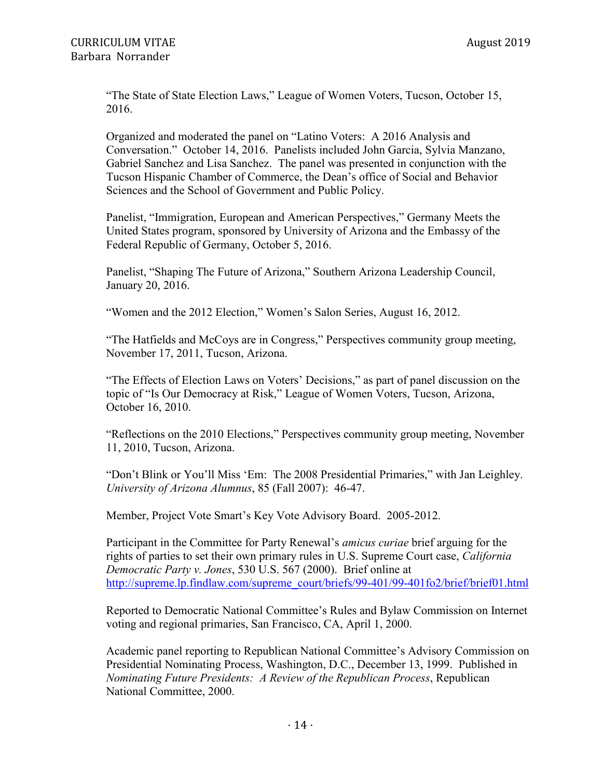"The State of State Election Laws," League of Women Voters, Tucson, October 15, 2016.

Organized and moderated the panel on "Latino Voters: A 2016 Analysis and Conversation." October 14, 2016. Panelists included John Garcia, Sylvia Manzano, Gabriel Sanchez and Lisa Sanchez. The panel was presented in conjunction with the Tucson Hispanic Chamber of Commerce, the Dean's office of Social and Behavior Sciences and the School of Government and Public Policy.

Panelist, "Immigration, European and American Perspectives," Germany Meets the United States program, sponsored by University of Arizona and the Embassy of the Federal Republic of Germany, October 5, 2016.

Panelist, "Shaping The Future of Arizona," Southern Arizona Leadership Council, January 20, 2016.

"Women and the 2012 Election," Women's Salon Series, August 16, 2012.

"The Hatfields and McCoys are in Congress," Perspectives community group meeting, November 17, 2011, Tucson, Arizona.

"The Effects of Election Laws on Voters' Decisions," as part of panel discussion on the topic of "Is Our Democracy at Risk," League of Women Voters, Tucson, Arizona, October 16, 2010.

"Reflections on the 2010 Elections," Perspectives community group meeting, November 11, 2010, Tucson, Arizona.

"Don't Blink or You'll Miss 'Em: The 2008 Presidential Primaries," with Jan Leighley. *University of Arizona Alumnus*, 85 (Fall 2007): 46-47.

Member, Project Vote Smart's Key Vote Advisory Board. 2005-2012.

Participant in the Committee for Party Renewal's *amicus curiae* brief arguing for the rights of parties to set their own primary rules in U.S. Supreme Court case, *California Democratic Party v. Jones*, 530 U.S. 567 (2000). Brief online at [http://supreme.lp.findlaw.com/supreme\\_court/briefs/99-401/99-401fo2/brief/brief01.html](http://supreme.lp.findlaw.com/supreme_court/briefs/99-401/99-401fo2/brief/brief01.html)

Reported to Democratic National Committee's Rules and Bylaw Commission on Internet voting and regional primaries, San Francisco, CA, April 1, 2000.

Academic panel reporting to Republican National Committee's Advisory Commission on Presidential Nominating Process, Washington, D.C., December 13, 1999. Published in *Nominating Future Presidents: A Review of the Republican Process*, Republican National Committee, 2000.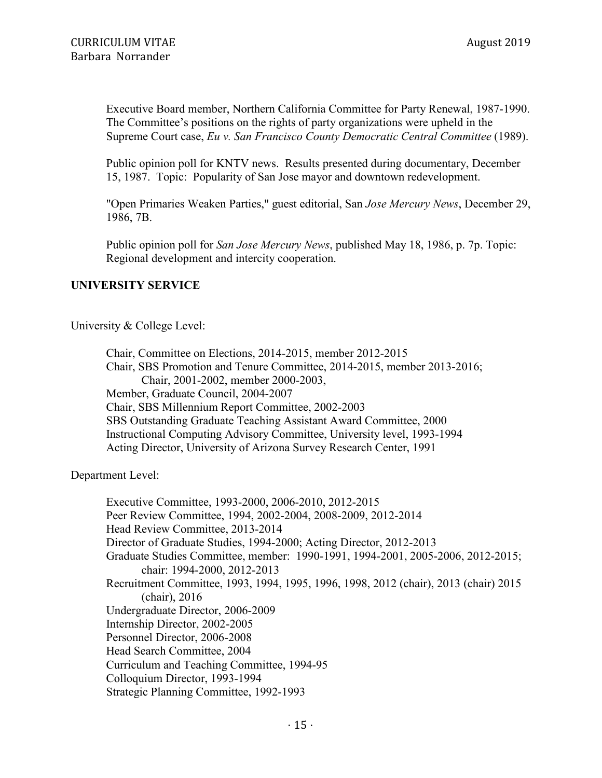Executive Board member, Northern California Committee for Party Renewal, 1987-1990. The Committee's positions on the rights of party organizations were upheld in the Supreme Court case, *Eu v. San Francisco County Democratic Central Committee* (1989).

Public opinion poll for KNTV news. Results presented during documentary, December 15, 1987. Topic: Popularity of San Jose mayor and downtown redevelopment.

"Open Primaries Weaken Parties," guest editorial, San *Jose Mercury News*, December 29, 1986, 7B.

Public opinion poll for *San Jose Mercury News*, published May 18, 1986, p. 7p. Topic: Regional development and intercity cooperation.

### **UNIVERSITY SERVICE**

University & College Level:

Chair, Committee on Elections, 2014-2015, member 2012-2015 Chair, SBS Promotion and Tenure Committee, 2014-2015, member 2013-2016; Chair, 2001-2002, member 2000-2003, Member, Graduate Council, 2004-2007 Chair, SBS Millennium Report Committee, 2002-2003 SBS Outstanding Graduate Teaching Assistant Award Committee, 2000 Instructional Computing Advisory Committee, University level, 1993-1994 Acting Director, University of Arizona Survey Research Center, 1991

Department Level:

Executive Committee, 1993-2000, 2006-2010, 2012-2015 Peer Review Committee, 1994, 2002-2004, 2008-2009, 2012-2014 Head Review Committee, 2013-2014 Director of Graduate Studies, 1994-2000; Acting Director, 2012-2013 Graduate Studies Committee, member: 1990-1991, 1994-2001, 2005-2006, 2012-2015; chair: 1994-2000, 2012-2013 Recruitment Committee, 1993, 1994, 1995, 1996, 1998, 2012 (chair), 2013 (chair) 2015 (chair), 2016 Undergraduate Director, 2006-2009 Internship Director, 2002-2005 Personnel Director, 2006-2008 Head Search Committee, 2004 Curriculum and Teaching Committee, 1994-95 Colloquium Director, 1993-1994 Strategic Planning Committee, 1992-1993